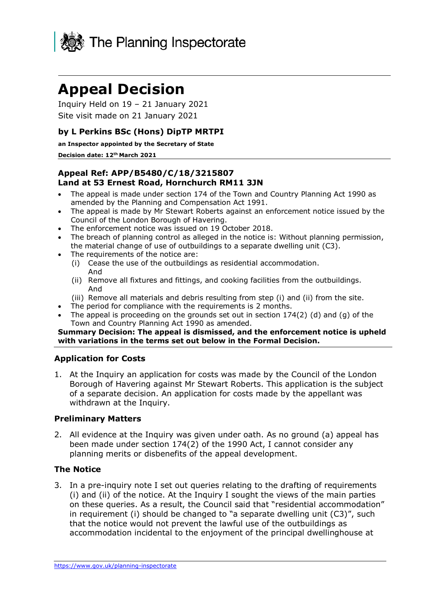

# **Appeal Decision**

 Inquiry Held on 19 – 21 January 2021 Site visit made on 21 January 2021

# **by L Perkins BSc (Hons) DipTP MRTPI**

**an Inspector appointed by the Secretary of State** 

#### **Decision date: 12th March 2021**

## **Appeal Ref: APP/B5480/C/18/3215807 Land at 53 Ernest Road, Hornchurch RM11 3JN**

- • The appeal is made under section 174 of the Town and Country Planning Act 1990 as amended by the Planning and Compensation Act 1991.
- • The appeal is made by Mr Stewart Roberts against an enforcement notice issued by the Council of the London Borough of Havering.
- The enforcement notice was issued on 19 October 2018.
- • The breach of planning control as alleged in the notice is: Without planning permission, the material change of use of outbuildings to a separate dwelling unit (C3).
- • The requirements of the notice are:
	- (i) Cease the use of the outbuildings as residential accommodation. And
	- (ii) Remove all fixtures and fittings, and cooking facilities from the outbuildings. And
	- (iii) Remove all materials and debris resulting from step (i) and (ii) from the site.
- The period for compliance with the requirements is 2 months.
- • The appeal is proceeding on the grounds set out in section 174(2) (d) and (g) of the Town and Country Planning Act 1990 as amended.

#### **Summary Decision: The appeal is dismissed, and the enforcement notice is upheld with variations in the terms set out below in the Formal Decision.**

## **Application for Costs**

 1. At the Inquiry an application for costs was made by the Council of the London of a separate decision. An application for costs made by the appellant was Borough of Havering against Mr Stewart Roberts. This application is the subject withdrawn at the Inquiry.

## **Preliminary Matters**

 2. All evidence at the Inquiry was given under oath. As no ground (a) appeal has been made under section 174(2) of the 1990 Act, I cannot consider any planning merits or disbenefits of the appeal development.

## **The Notice**

 3. In a pre-inquiry note I set out queries relating to the drafting of requirements (i) and (ii) of the notice. At the Inquiry I sought the views of the main parties in requirement (i) should be changed to "a separate dwelling unit (C3)", such that the notice would not prevent the lawful use of the outbuildings as accommodation incidental to the enjoyment of the principal dwellinghouse at on these queries. As a result, the Council said that "residential accommodation"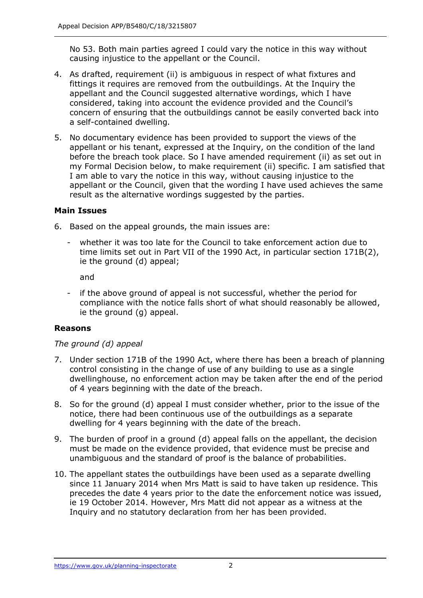No 53. Both main parties agreed I could vary the notice in this way without causing injustice to the appellant or the Council.

- fittings it requires are removed from the outbuildings. At the Inquiry the appellant and the Council suggested alternative wordings, which I have considered, taking into account the evidence provided and the Council's concern of ensuring that the outbuildings cannot be easily converted back into 4. As drafted, requirement (ii) is ambiguous in respect of what fixtures and a self-contained dwelling.
- appellant or his tenant, expressed at the Inquiry, on the condition of the land before the breach took place. So I have amended requirement (ii) as set out in my Formal Decision below, to make requirement (ii) specific. I am satisfied that I am able to vary the notice in this way, without causing injustice to the appellant or the Council, given that the wording I have used achieves the same result as the alternative wordings suggested by the parties. 5. No documentary evidence has been provided to support the views of the

# **Main Issues**

- 6. Based on the appeal grounds, the main issues are:
	- - whether it was too late for the Council to take enforcement action due to time limits set out in Part VII of the 1990 Act, in particular section 171B(2), ie the ground (d) appeal;

and

 - if the above ground of appeal is not successful, whether the period for compliance with the notice falls short of what should reasonably be allowed, ie the ground (g) appeal.

# **Reasons**

# *The ground (d) appeal*

- 7. Under section 171B of the 1990 Act, where there has been a breach of planning control consisting in the change of use of any building to use as a single dwellinghouse, no enforcement action may be taken after the end of the period of 4 years beginning with the date of the breach.
- 8. So for the ground (d) appeal I must consider whether, prior to the issue of the notice, there had been continuous use of the outbuildings as a separate dwelling for 4 years beginning with the date of the breach.
- 9. The burden of proof in a ground (d) appeal falls on the appellant, the decision must be made on the evidence provided, that evidence must be precise and unambiguous and the standard of proof is the balance of probabilities.
- 10. The appellant states the outbuildings have been used as a separate dwelling since 11 January 2014 when Mrs Matt is said to have taken up residence. This precedes the date 4 years prior to the date the enforcement notice was issued, ie 19 October 2014. However, Mrs Matt did not appear as a witness at the Inquiry and no statutory declaration from her has been provided.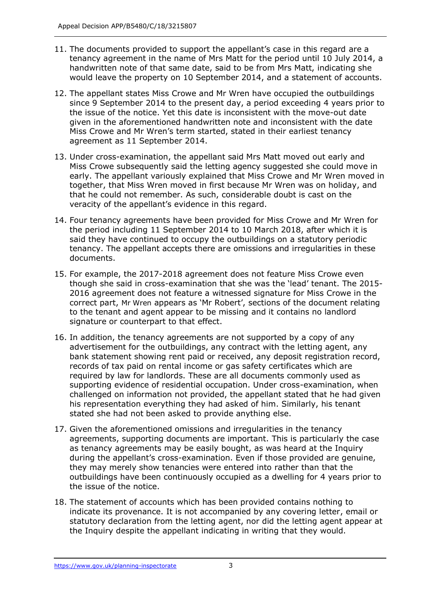- tenancy agreement in the name of Mrs Matt for the period until 10 July 2014, a handwritten note of that same date, said to be from Mrs Matt, indicating she would leave the property on 10 September 2014, and a statement of accounts. 11. The documents provided to support the appellant's case in this regard are a
- 12. The appellant states Miss Crowe and Mr Wren have occupied the outbuildings since 9 September 2014 to the present day, a period exceeding 4 years prior to the issue of the notice. Yet this date is inconsistent with the move-out date given in the aforementioned handwritten note and inconsistent with the date Miss Crowe and Mr Wren's term started, stated in their earliest tenancy agreement as 11 September 2014.
- 13. Under cross-examination, the appellant said Mrs Matt moved out early and Miss Crowe subsequently said the letting agency suggested she could move in early. The appellant variously explained that Miss Crowe and Mr Wren moved in together, that Miss Wren moved in first because Mr Wren was on holiday, and veracity of the appellant's evidence in this regard. that he could not remember. As such, considerable doubt is cast on the
- the period including 11 September 2014 to 10 March 2018, after which it is said they have continued to occupy the outbuildings on a statutory periodic tenancy. The appellant accepts there are omissions and irregularities in these 14. Four tenancy agreements have been provided for Miss Crowe and Mr Wren for documents.
- 15. For example, the 2017-2018 agreement does not feature Miss Crowe even though she said in cross-examination that she was the 'lead' tenant. The 2015- 2016 agreement does not feature a witnessed signature for Miss Crowe in the correct part, Mr Wren appears as 'Mr Robert', sections of the document relating to the tenant and agent appear to be missing and it contains no landlord signature or counterpart to that effect.
- 16. In addition, the tenancy agreements are not supported by a copy of any advertisement for the outbuildings, any contract with the letting agent, any bank statement showing rent paid or received, any deposit registration record, records of tax paid on rental income or gas safety certificates which are required by law for landlords. These are all documents commonly used as supporting evidence of residential occupation. Under cross-examination, when challenged on information not provided, the appellant stated that he had given his representation everything they had asked of him. Similarly, his tenant stated she had not been asked to provide anything else.
- 17. Given the aforementioned omissions and irregularities in the tenancy agreements, supporting documents are important. This is particularly the case as tenancy agreements may be easily bought, as was heard at the Inquiry during the appellant's cross-examination. Even if those provided are genuine, they may merely show tenancies were entered into rather than that the outbuildings have been continuously occupied as a dwelling for 4 years prior to the issue of the notice.
- indicate its provenance. It is not accompanied by any covering letter, email or statutory declaration from the letting agent, nor did the letting agent appear at the Inquiry despite the appellant indicating in writing that they would. 18. The statement of accounts which has been provided contains nothing to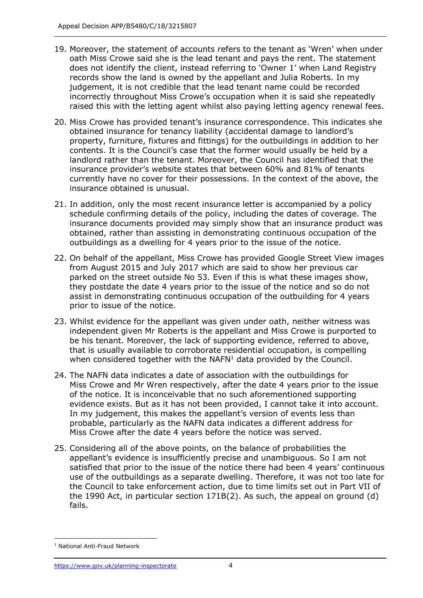- 19. Moreover, the statement of accounts refers to the tenant as 'Wren' when under oath Miss Crowe said she is the lead tenant and pays the rent. The statement does not identify the client, instead referring to 'Owner 1' when Land Registry records show the land is owned by the appellant and Julia Roberts. In my judgement, it is not credible that the lead tenant name could be recorded incorrectly throughout Miss Crowe's occupation when it is said she repeatedly raised this with the letting agent whilst also paying letting agency renewal fees.
- obtained insurance for tenancy liability (accidental damage to landlord's property, furniture, fixtures and fittings) for the outbuildings in addition to her contents. It is the Council's case that the former would usually be held by a landlord rather than the tenant. Moreover, the Council has identified that the insurance provider's website states that between 60% and 81% of tenants currently have no cover for their possessions. In the context of the above, the 20. Miss Crowe has provided tenant's insurance correspondence. This indicates she insurance obtained is unusual.
- 21. In addition, only the most recent insurance letter is accompanied by a policy schedule confirming details of the policy, including the dates of coverage. The insurance documents provided may simply show that an insurance product was obtained, rather than assisting in demonstrating continuous occupation of the outbuildings as a dwelling for 4 years prior to the issue of the notice.
- 22. On behalf of the appellant, Miss Crowe has provided Google Street View images from August 2015 and July 2017 which are said to show her previous car parked on the street outside No 53. Even if this is what these images show, they postdate the date 4 years prior to the issue of the notice and so do not assist in demonstrating continuous occupation of the outbuilding for 4 years prior to issue of the notice.
- 23. Whilst evidence for the appellant was given under oath, neither witness was independent given Mr Roberts is the appellant and Miss Crowe is purported to be his tenant. Moreover, the lack of supporting evidence, referred to above, that is usually available to corroborate residential occupation, is compelling when considered together with the NAFN $<sup>1</sup>$  data provided by the Council.</sup>
- 24. The NAFN data indicates a date of association with the outbuildings for Miss Crowe and Mr Wren respectively, after the date 4 years prior to the issue evidence exists. But as it has not been provided, I cannot take it into account. probable, particularly as the NAFN data indicates a different address for Miss Crowe after the date 4 years before the notice was served. of the notice. It is inconceivable that no such aforementioned supporting In my judgement, this makes the appellant's version of events less than
- 25. Considering all of the above points, on the balance of probabilities the appellant's evidence is insufficiently precise and unambiguous. So I am not satisfied that prior to the issue of the notice there had been 4 years' continuous use of the outbuildings as a separate dwelling. Therefore, it was not too late for the Council to take enforcement action, due to time limits set out in Part VII of the 1990 Act, in particular section 171B(2). As such, the appeal on ground (d) fails.

<sup>1</sup> National Anti-Fraud Network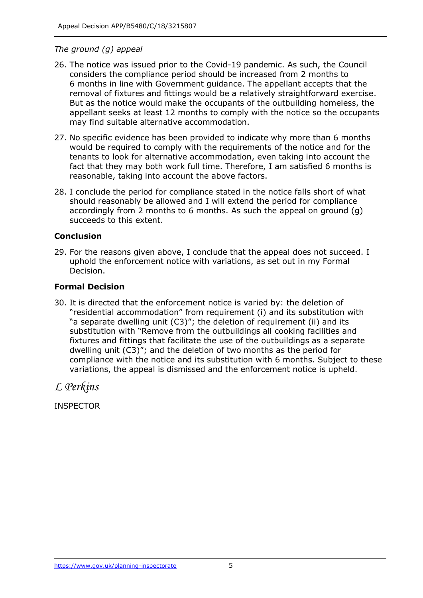## *The ground (g) appeal*

- 26. The notice was issued prior to the Covid-19 pandemic. As such, the Council considers the compliance period should be increased from 2 months to 6 months in line with Government guidance. The appellant accepts that the removal of fixtures and fittings would be a relatively straightforward exercise. But as the notice would make the occupants of the outbuilding homeless, the appellant seeks at least 12 months to comply with the notice so the occupants may find suitable alternative accommodation.
- 27. No specific evidence has been provided to indicate why more than 6 months would be required to comply with the requirements of the notice and for the tenants to look for alternative accommodation, even taking into account the fact that they may both work full time. Therefore, I am satisfied 6 months is reasonable, taking into account the above factors.
- 28. I conclude the period for compliance stated in the notice falls short of what should reasonably be allowed and I will extend the period for compliance accordingly from 2 months to 6 months. As such the appeal on ground (g) succeeds to this extent.

# **Conclusion**

 29. For the reasons given above, I conclude that the appeal does not succeed. I uphold the enforcement notice with variations, as set out in my Formal Decision.

## **Formal Decision**

 30. It is directed that the enforcement notice is varied by: the deletion of "residential accommodation" from requirement (i) and its substitution with "a separate dwelling unit (C3)"; the deletion of requirement (ii) and its substitution with "Remove from the outbuildings all cooking facilities and fixtures and fittings that facilitate the use of the outbuildings as a separate dwelling unit (C3)"; and the deletion of two months as the period for compliance with the notice and its substitution with 6 months. Subject to these variations, the appeal is dismissed and the enforcement notice is upheld.

*L Perkins* 

INSPECTOR